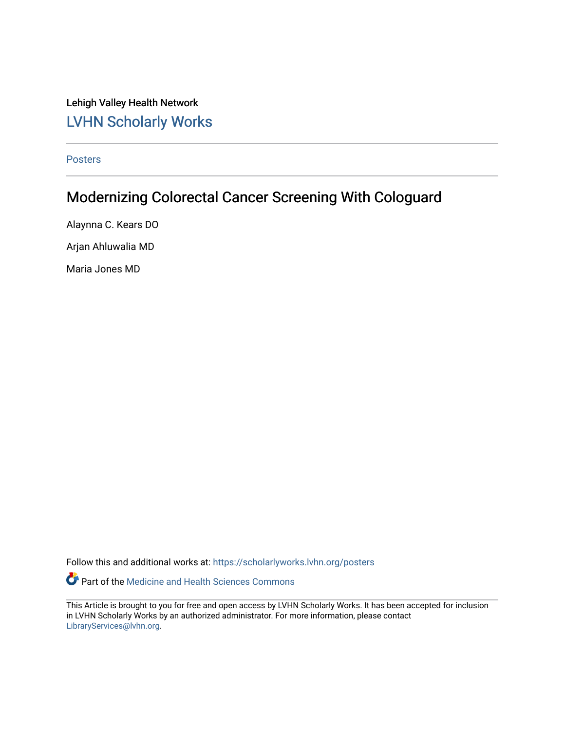Lehigh Valley Health Network [LVHN Scholarly Works](https://scholarlyworks.lvhn.org/)

[Posters](https://scholarlyworks.lvhn.org/posters) 

#### Modernizing Colorectal Cancer Screening With Cologuard

Alaynna C. Kears DO Arjan Ahluwalia MD

Maria Jones MD

Follow this and additional works at: [https://scholarlyworks.lvhn.org/posters](https://scholarlyworks.lvhn.org/posters?utm_source=scholarlyworks.lvhn.org%2Fposters%2F36&utm_medium=PDF&utm_campaign=PDFCoverPages) 

Part of the [Medicine and Health Sciences Commons](http://network.bepress.com/hgg/discipline/648?utm_source=scholarlyworks.lvhn.org%2Fposters%2F36&utm_medium=PDF&utm_campaign=PDFCoverPages) 

This Article is brought to you for free and open access by LVHN Scholarly Works. It has been accepted for inclusion in LVHN Scholarly Works by an authorized administrator. For more information, please contact [LibraryServices@lvhn.org](mailto:LibraryServices@lvhn.org).